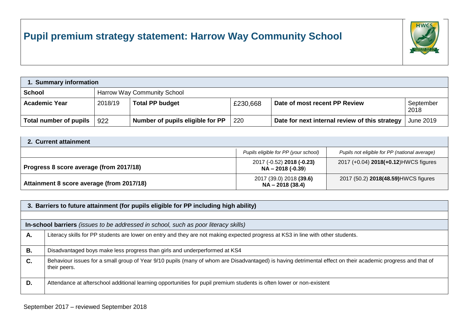## **Pupil premium strategy statement: Harrow Way Community School**



| 1. Summary information |                                    |                                  |          |                                                |                   |  |  |
|------------------------|------------------------------------|----------------------------------|----------|------------------------------------------------|-------------------|--|--|
| <b>School</b>          | <b>Harrow Way Community School</b> |                                  |          |                                                |                   |  |  |
| <b>Academic Year</b>   | 2018/19                            | <b>Total PP budget</b>           | £230,668 | Date of most recent PP Review                  | September<br>2018 |  |  |
| Total number of pupils | 922                                | Number of pupils eligible for PP | 220      | Date for next internal review of this strategy | June 2019         |  |  |

| 2. Current attainment                     |                                                  |                                               |  |  |  |  |
|-------------------------------------------|--------------------------------------------------|-----------------------------------------------|--|--|--|--|
|                                           | Pupils eligible for PP (your school)             | Pupils not eligible for PP (national average) |  |  |  |  |
| Progress 8 score average (from 2017/18)   | 2017 (-0.52) 2018 (-0.23)<br>$NA - 2018 (-0.39)$ | 2017 (+0.04) 2018(+0.12) HWCS figures         |  |  |  |  |
| Attainment 8 score average (from 2017/18) | 2017 (39.0) 2018 (39.6)<br>$NA - 2018(38.4)$     | 2017 (50.2) 2018(48.59) HWCS figures          |  |  |  |  |

|    | 3. Barriers to future attainment (for pupils eligible for PP including high ability)                                                                                        |  |  |  |  |  |  |
|----|-----------------------------------------------------------------------------------------------------------------------------------------------------------------------------|--|--|--|--|--|--|
|    |                                                                                                                                                                             |  |  |  |  |  |  |
|    | In-school barriers (issues to be addressed in school, such as poor literacy skills)                                                                                         |  |  |  |  |  |  |
| А. | Literacy skills for PP students are lower on entry and they are not making expected progress at KS3 in line with other students.                                            |  |  |  |  |  |  |
| В. | Disadvantaged boys make less progress than girls and underperformed at KS4                                                                                                  |  |  |  |  |  |  |
| C. | Behaviour issues for a small group of Year 9/10 pupils (many of whom are Disadvantaged) is having detrimental effect on their academic progress and that of<br>their peers. |  |  |  |  |  |  |
| D. | Attendance at afterschool additional learning opportunities for pupil premium students is often lower or non-existent                                                       |  |  |  |  |  |  |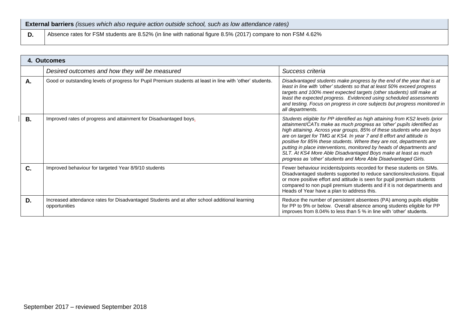| <b>External barriers</b> (issues which also require action outside school, such as low attendance rates) |
|----------------------------------------------------------------------------------------------------------|
| Both and FSM students are 8.52% (in line with national figure 8.5% (2017) compare to non FSM 4.62%       |

|           | 4. Outcomes                                                                                                    |                                                                                                                                                                                                                                                                                                                                                                                                                                                                                                                                                                                               |  |  |  |  |  |
|-----------|----------------------------------------------------------------------------------------------------------------|-----------------------------------------------------------------------------------------------------------------------------------------------------------------------------------------------------------------------------------------------------------------------------------------------------------------------------------------------------------------------------------------------------------------------------------------------------------------------------------------------------------------------------------------------------------------------------------------------|--|--|--|--|--|
|           | Desired outcomes and how they will be measured                                                                 | Success criteria                                                                                                                                                                                                                                                                                                                                                                                                                                                                                                                                                                              |  |  |  |  |  |
| Α.        | Good or outstanding levels of progress for Pupil Premium students at least in line with 'other' students.      | Disadvantaged students make progress by the end of the year that is at<br>least in line with 'other' students so that at least 50% exceed progress<br>targets and 100% meet expected targets (other students) still make at<br>least the expected progress. Evidenced using scheduled assessments<br>and testing. Focus on progress in core subjects but progress monitored in<br>all departments.                                                                                                                                                                                            |  |  |  |  |  |
| <b>B.</b> | Improved rates of progress and attainment for Disadvantaged boys.                                              | Students eligible for PP identified as high attaining from KS2 levels /prior<br>attainment/CATs make as much progress as 'other' pupils identified as<br>high attaining. Across year groups, 85% of these students who are boys<br>are on target for TMG at KS4. In year 7 and 8 effort and attitude is<br>positive for 85% these students. Where they are not, departments are<br>putting in place interventions, monitored by heads of departments and<br>SLT. At KS4 More Able Disadvantaged Boys make at least as much<br>progress as 'other' students and More Able Disadvantaged Girls. |  |  |  |  |  |
| C.        | Improved behaviour for targeted Year 8/9/10 students                                                           | Fewer behaviour incidents/points recorded for these students on SIMs.<br>Disadvantaged students supported to reduce sanctions/exclusions. Equal<br>or more positive effort and attitude is seen for pupil premium students<br>compared to non pupil premium students and if it is not departments and<br>Heads of Year have a plan to address this.                                                                                                                                                                                                                                           |  |  |  |  |  |
| D.        | Increased attendance rates for Disadvantaged Students and at after school additional learning<br>opportunities | Reduce the number of persistent absentees (PA) among pupils eligible<br>for PP to 9% or below. Overall absence among students eligible for PP<br>improves from 8.04% to less than 5 % in line with 'other' students.                                                                                                                                                                                                                                                                                                                                                                          |  |  |  |  |  |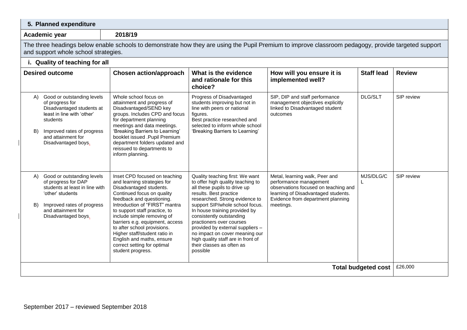| 5. Planned expenditure                                                                                                                                                                                      |                                                                                                                                                                                                                                                                                                                                                                                                                                         |                                                                                                                                                                                                                                                                                                                                                                                                                                                   |                                                                                                                                                                                           |                            |               |  |  |  |
|-------------------------------------------------------------------------------------------------------------------------------------------------------------------------------------------------------------|-----------------------------------------------------------------------------------------------------------------------------------------------------------------------------------------------------------------------------------------------------------------------------------------------------------------------------------------------------------------------------------------------------------------------------------------|---------------------------------------------------------------------------------------------------------------------------------------------------------------------------------------------------------------------------------------------------------------------------------------------------------------------------------------------------------------------------------------------------------------------------------------------------|-------------------------------------------------------------------------------------------------------------------------------------------------------------------------------------------|----------------------------|---------------|--|--|--|
| Academic year                                                                                                                                                                                               | 2018/19                                                                                                                                                                                                                                                                                                                                                                                                                                 |                                                                                                                                                                                                                                                                                                                                                                                                                                                   |                                                                                                                                                                                           |                            |               |  |  |  |
| The three headings below enable schools to demonstrate how they are using the Pupil Premium to improve classroom pedagogy, provide targeted support<br>and support whole school strategies.                 |                                                                                                                                                                                                                                                                                                                                                                                                                                         |                                                                                                                                                                                                                                                                                                                                                                                                                                                   |                                                                                                                                                                                           |                            |               |  |  |  |
|                                                                                                                                                                                                             | i. Quality of teaching for all                                                                                                                                                                                                                                                                                                                                                                                                          |                                                                                                                                                                                                                                                                                                                                                                                                                                                   |                                                                                                                                                                                           |                            |               |  |  |  |
| <b>Desired outcome</b>                                                                                                                                                                                      | <b>Chosen action/approach</b>                                                                                                                                                                                                                                                                                                                                                                                                           | What is the evidence<br>and rationale for this<br>choice?                                                                                                                                                                                                                                                                                                                                                                                         | How will you ensure it is<br>implemented well?                                                                                                                                            | <b>Staff lead</b>          | <b>Review</b> |  |  |  |
| Good or outstanding levels<br>A)<br>of progress for<br>Disadvantaged students at<br>least in line with 'other'<br>students<br>Improved rates of progress<br>B)<br>and attainment for<br>Disadvantaged boys. | Whole school focus on<br>attainment and progress of<br>Disadvantaged/SEND key<br>groups. Includes CPD and focus<br>for department planning<br>meetings and data meetings.<br>'Breaking Barriers to Learning'<br>booklet issued .Pupil Premium<br>department folders updated and<br>reissued to departments to<br>inform planning.                                                                                                       | Progress of Disadvantaged<br>students improving but not in<br>line with peers or national<br>figures.<br>Best practice researched and<br>selected to inform whole school<br>'Breaking Barriers to Learning'                                                                                                                                                                                                                                       | SIP, DIP and staff performance<br>management objectives explicitly<br>linked to Disadvantaged student<br>outcomes                                                                         | DLG/SLT                    | SIP review    |  |  |  |
| A) Good or outstanding levels<br>of progress for DAP<br>students at least in line with<br>'other' students<br>Improved rates of progress<br>B)<br>and attainment for<br>Disadvantaged boys.                 | Inset CPD focused on teaching<br>and learning strategies for<br>Disadvantaged students.<br>Continued focus on quality<br>feedback and questioning.<br>Introduction of "FIRST" mantra<br>to support staff practice, to<br>include simple removing of<br>barriers e.g. equipment, access<br>to after school provisions.<br>Higher staff/student ratio in<br>English and maths, ensure<br>correct setting for optimal<br>student progress. | Quality teaching first: We want<br>to offer high quality teaching to<br>all these pupils to drive up<br>results. Best practice<br>researched. Strong evidence to<br>support SIP/whole school focus.<br>In house training provided by<br>consistently outstanding<br>practioners over courses<br>provided by external suppliers -<br>no impact on cover meaning our<br>high quality staff are in front of<br>their classes as often as<br>possible | Metal, learning walk, Peer and<br>performance management<br>observations focused on teaching and<br>learning of Disadvantaged students.<br>Evidence from department planning<br>meetings. | MJS/DLG/C                  | SIP review    |  |  |  |
|                                                                                                                                                                                                             |                                                                                                                                                                                                                                                                                                                                                                                                                                         |                                                                                                                                                                                                                                                                                                                                                                                                                                                   |                                                                                                                                                                                           | <b>Total budgeted cost</b> | £26,000       |  |  |  |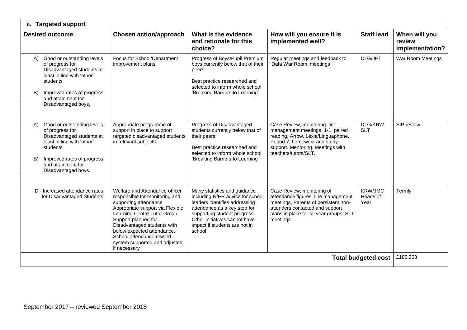| ii. Targeted support       |                                                                                                                                                                                                    |                                                                                                                                                                                                                                                                                                                                |                                                                                                                                                                                                                                               |                                                                                                                                                                                                      |                                    |                                            |  |
|----------------------------|----------------------------------------------------------------------------------------------------------------------------------------------------------------------------------------------------|--------------------------------------------------------------------------------------------------------------------------------------------------------------------------------------------------------------------------------------------------------------------------------------------------------------------------------|-----------------------------------------------------------------------------------------------------------------------------------------------------------------------------------------------------------------------------------------------|------------------------------------------------------------------------------------------------------------------------------------------------------------------------------------------------------|------------------------------------|--------------------------------------------|--|
|                            | <b>Desired outcome</b>                                                                                                                                                                             | <b>Chosen action/approach</b>                                                                                                                                                                                                                                                                                                  | What is the evidence<br>and rationale for this<br>choice?                                                                                                                                                                                     | How will you ensure it is<br>implemented well?                                                                                                                                                       | <b>Staff lead</b>                  | When will you<br>review<br>implementation? |  |
| B)                         | A) Good or outstanding levels<br>of progress for<br>Disadvantaged students at<br>least in line with 'other'<br>students<br>Improved rates of progress<br>and attainment for<br>Disadvantaged boys. | Focus for School/Department<br>improvement plans                                                                                                                                                                                                                                                                               | Progress of Boys/Pupil Premium<br>boys currently below that of their<br>peers<br>Best practice researched and<br>selected to inform whole school<br>'Breaking Barriers to Learning'                                                           | Regular meetings and feedback to<br>'Data War Room' meetings                                                                                                                                         | DLG/JPT                            | War Room Meetings                          |  |
| B)                         | A) Good or outstanding levels<br>of progress for<br>Disadvantaged students at<br>least in line with 'other'<br>students<br>Improved rates of progress<br>and attainment for<br>Disadvantaged boys. | Appropriate programme of<br>support in place to support<br>targeted disadvantaged students<br>in relevant subjects.                                                                                                                                                                                                            | Progress of Disadvantaged<br>students currently below that of<br>their peers<br>Best practice researched and<br>selected to inform whole school<br>'Breaking Barriers to Learning'                                                            | Case Review, monitoring, line<br>management meetings. 1-1, paired<br>reading, Arrow, Lexia/Linguaphone,<br>Period 7, homework and study<br>support. Mentoring. Meetings with<br>teachers/tutors/SLT. | DLG/KRW,<br><b>SLT</b>             | SIP review                                 |  |
|                            | D - Increased attendance rates<br>for Disadvantaged Students                                                                                                                                       | Welfare and Attendance officer<br>responsible for monitoring and<br>supporting attendance<br>Appropriate support via Flexible<br>Learning Centre Tutor Group.<br>Support planned for<br>Disadvantaged students with<br>below expected attendance.<br>School attendance reward<br>system supported and adjusted<br>if necessary | Many statistics and guidance<br>including NfER advice for school<br>leaders identifies addressing<br>attendance as a key step for<br>supporting student progress.<br>Other initiatives cannot have<br>impact if students are not in<br>school | Case Review, monitoring of<br>attendance figures, line management<br>meetings, Parents of persistent non-<br>attenders contacted and support<br>plans in place for all year groups. SLT<br>meetings  | <b>KRW/JMC</b><br>Heads of<br>Year | Termly                                     |  |
| <b>Total budgeted cost</b> |                                                                                                                                                                                                    |                                                                                                                                                                                                                                                                                                                                |                                                                                                                                                                                                                                               |                                                                                                                                                                                                      |                                    | £185,268                                   |  |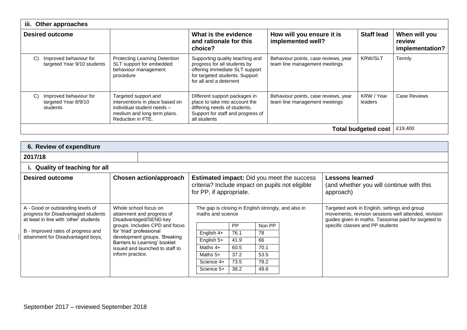| iii. Other approaches      |                                                            |                                                                                                                                           |                                                                                                                                                                |                                                                       |                       |                                            |  |
|----------------------------|------------------------------------------------------------|-------------------------------------------------------------------------------------------------------------------------------------------|----------------------------------------------------------------------------------------------------------------------------------------------------------------|-----------------------------------------------------------------------|-----------------------|--------------------------------------------|--|
| <b>Desired outcome</b>     |                                                            |                                                                                                                                           | What is the evidence<br>and rationale for this<br>choice?                                                                                                      | How will you ensure it is<br>implemented well?                        | <b>Staff lead</b>     | When will you<br>review<br>implementation? |  |
| C)                         | Improved behaviour for<br>targeted Year 9/10 students      | Protecting Learning Detention<br>SLT support for embedded<br>behaviour management<br>procedure                                            | Supporting quality teaching and<br>progress for all students by<br>offering immediate SLT support<br>for targeted students. Support<br>for all and a deterrent | Behaviour points, case reviews, year<br>team line management meetings | <b>KRW/SLT</b>        | Termly                                     |  |
| C)                         | Improved behaviour for<br>targeted Year 8/9/10<br>students | Targeted support and<br>interventions in place based on<br>individual student needs -<br>medium and long term plans.<br>Reduction in FTE. | Different support packages in<br>place to take into account the<br>differing needs of students.<br>Support for staff and progress of<br>all students           | Behaviour points, case reviews, year<br>team line management meetings | KRW / Year<br>leaders | <b>Case Reviews</b>                        |  |
| <b>Total budgeted cost</b> |                                                            |                                                                                                                                           |                                                                                                                                                                |                                                                       |                       | £19,400                                    |  |

| 6. Review of expenditure                                                                                           |                                                                               |                                |                         |           |                                                     |                                                                                                      |                                                                                                                                                              |
|--------------------------------------------------------------------------------------------------------------------|-------------------------------------------------------------------------------|--------------------------------|-------------------------|-----------|-----------------------------------------------------|------------------------------------------------------------------------------------------------------|--------------------------------------------------------------------------------------------------------------------------------------------------------------|
| 2017/18                                                                                                            |                                                                               |                                |                         |           |                                                     |                                                                                                      |                                                                                                                                                              |
| i. Quality of teaching for all                                                                                     |                                                                               |                                |                         |           |                                                     |                                                                                                      |                                                                                                                                                              |
| <b>Desired outcome</b>                                                                                             |                                                                               | <b>Chosen action/approach</b>  | for PP, if appropriate. |           |                                                     | <b>Estimated impact:</b> Did you meet the success<br>criteria? Include impact on pupils not eligible | <b>Lessons learned</b><br>(and whether you will continue with this<br>approach)                                                                              |
| A - Good or outstanding levels of<br>progress for Disadvantaged students<br>at least in line with 'other' students | Whole school focus on<br>attainment and progress of<br>Disadvantaged/SEND key |                                | maths and science       |           | The gap is closing in English strongly, and also in |                                                                                                      | Targeted work in English, settings and group<br>movements, revision sessions well attended, revision<br>guides given in maths. Tassomai paid for targeted to |
|                                                                                                                    |                                                                               | groups. Includes CPD and focus |                         | <b>PP</b> | Non PP                                              |                                                                                                      | specific classes and PP students                                                                                                                             |
| B - Improved rates of progress and<br>attainment for Disadvantaged boys.                                           | for 'triad' professional                                                      |                                | English 4+              | 76.1      | 78                                                  |                                                                                                      |                                                                                                                                                              |
|                                                                                                                    | development groups. 'Breaking<br>Barriers to Learning' booklet                |                                | English 5+              | 41.9      | 66                                                  |                                                                                                      |                                                                                                                                                              |
| issued and launched to staff to                                                                                    |                                                                               |                                | Maths $4+$              | 60.5      | 70.1                                                |                                                                                                      |                                                                                                                                                              |
|                                                                                                                    | inform practice.                                                              |                                | Maths $5+$              | 37.2      | 53.5                                                |                                                                                                      |                                                                                                                                                              |
|                                                                                                                    |                                                                               |                                | Science 4+              | 73.5      | 78.2                                                |                                                                                                      |                                                                                                                                                              |
|                                                                                                                    |                                                                               |                                | Science 5+              | 38.2      | 49.6                                                |                                                                                                      |                                                                                                                                                              |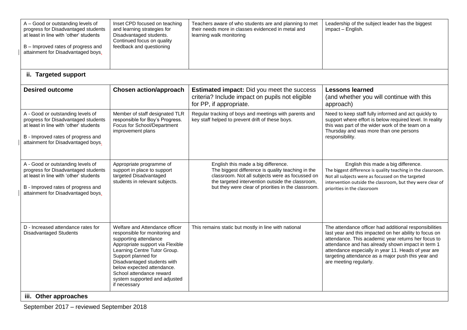| A - Good or outstanding levels of<br>progress for Disadvantaged students<br>at least in line with 'other' students<br>B - Improved rates of progress and<br>attainment for Disadvantaged boys. | Inset CPD focused on teaching<br>and learning strategies for<br>Disadvantaged students.<br>Continued focus on quality<br>feedback and questioning                                                                                                                                                                              | Teachers aware of who students are and planning to met<br>their needs more in classes evidenced in metal and<br>learning walk monitoring                                                                                                               | Leadership of the subject leader has the biggest<br>impact - English.                                                                                                                                                                                                                                                                                               |
|------------------------------------------------------------------------------------------------------------------------------------------------------------------------------------------------|--------------------------------------------------------------------------------------------------------------------------------------------------------------------------------------------------------------------------------------------------------------------------------------------------------------------------------|--------------------------------------------------------------------------------------------------------------------------------------------------------------------------------------------------------------------------------------------------------|---------------------------------------------------------------------------------------------------------------------------------------------------------------------------------------------------------------------------------------------------------------------------------------------------------------------------------------------------------------------|
| ii. Targeted support                                                                                                                                                                           |                                                                                                                                                                                                                                                                                                                                |                                                                                                                                                                                                                                                        |                                                                                                                                                                                                                                                                                                                                                                     |
| <b>Desired outcome</b>                                                                                                                                                                         | <b>Chosen action/approach</b>                                                                                                                                                                                                                                                                                                  | <b>Estimated impact:</b> Did you meet the success<br>criteria? Include impact on pupils not eligible<br>for PP, if appropriate.                                                                                                                        | <b>Lessons learned</b><br>(and whether you will continue with this<br>approach)                                                                                                                                                                                                                                                                                     |
| A - Good or outstanding levels of<br>progress for Disadvantaged students<br>at least in line with 'other' students<br>B - Improved rates of progress and<br>attainment for Disadvantaged boys. | Member of staff designated TLR<br>responsible for Boy's Progress.<br>Focus for School/Department<br>improvement plans                                                                                                                                                                                                          | Regular tracking of boys and meetings with parents and<br>key staff helped to prevent drift of these boys.                                                                                                                                             | Need to keep staff fully informed and act quickly to<br>support where effort is below required level. In reality<br>this was part of the wider work of the team on a<br>Thursday and was more than one persons<br>responsibility.                                                                                                                                   |
| A - Good or outstanding levels of<br>progress for Disadvantaged students<br>at least in line with 'other' students<br>B - Improved rates of progress and<br>attainment for Disadvantaged boys. | Appropriate programme of<br>support in place to support<br>targeted Disadvantaged<br>students in relevant subjects.                                                                                                                                                                                                            | English this made a big difference.<br>The biggest difference is quality teaching in the<br>classroom. Not all subjects were as focussed on<br>the targeted intervention outside the classroom,<br>but they were clear of priorities in the classroom. | English this made a big difference.<br>The biggest difference is quality teaching in the classroom.<br>Not all subjects were as focussed on the targeted<br>intervention outside the classroom, but they were clear of<br>priorities in the classroom                                                                                                               |
| D - Increased attendance rates for<br><b>Disadvantaged Students</b><br>iii. Other approaches                                                                                                   | Welfare and Attendance officer<br>responsible for monitoring and<br>supporting attendance<br>Appropriate support via Flexible<br>Learning Centre Tutor Group.<br>Support planned for<br>Disadvantaged students with<br>below expected attendance.<br>School attendance reward<br>system supported and adjusted<br>if necessary | This remains static but mostly in line with national                                                                                                                                                                                                   | The attendance officer had additional responsibilities<br>last year and this impacted on her ability to focus on<br>attendance. This academic year returns her focus to<br>attendance and has already shown impact in term 1<br>attendance especially in year 11. Heads of year are<br>targeting attendance as a major push this year and<br>are meeting regularly. |

September 2017 – reviewed September 2018